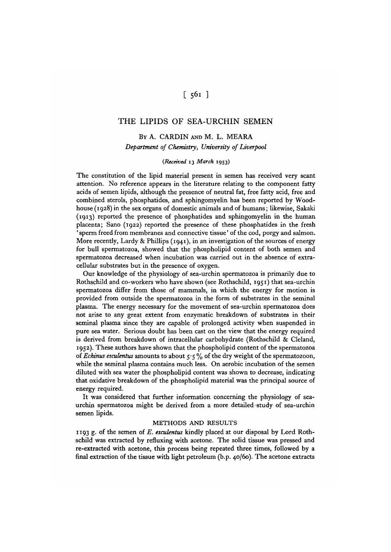# $[561]$

## THE LIPIDS OF SEA-URCHIN SEMEN

## BY A. CARDIN AND M. L. MEARA *Department of Chemistry, University of Liverpool*

### *(Received* **13** *March* **1953)**

The constitution of the lipid material present in semen has received very scant attention. No reference appears in the literature relating to the component fatty acids of semen lipids, although the presence of neutral fat, free fatty acid, free and combined sterols, phosphatides, and sphingomyelin has been reported by Woodhouse (1928) in the sex organs of domestic animals and of humans; likewise, Sakaki (1913) reported the presence of phosphatides and sphingomyelin in the human placenta; Sano (1922) reported the presence of these phosphatides in the fresh ' sperm freed from membranes and connective tissue' of the cod, porgy and salmon. More recently, Lardy & Phillips ( $1941$ ), in an investigation of the sources of energy for bull spermatozoa, showed that the phospholipid content of both semen and spermatozoa decreased when incubation was carried out in the absence of extracellular substrates but in the presence of oxygen.

Our knowledge of the physiology of sea-urchin spermatozoa is primarily due to Rothschild and co-workers who have shown (see Rothschild, 1951) that sea-urchin spermatozoa differ from those of mammals, in which the energy for motion is provided from outside the spermatozoa in the form of substrates in the seminal plasma. The energy necessary for the movement of sea-urchin spermatozoa does not arise to any great extent from enzymatic breakdown of substrates in their seminal plasma since they are capable of prolonged activity when suspended in pure sea water. Serious doubt has been cast on the view that the energy required is derived from breakdown of intracellular carbohydrate (Rothschild & Cleland, 1952). These authors have shown that the phospholipid content of the spermatozoa of *Echinus esculentus* amounts to about 5-5 % of the dry weight of the spermatozoon, while the seminal plasma contains much less. On aerobic incubation of the semen diluted with sea water the phospholipid content was shown to decrease, indicating that oxidative breakdown of the phospholipid material was the principal source of energy required.

It was considered that further information concerning the physiology of seaurchin spermatozoa might be derived from a more detailed study of sea-urchin semen lipids.

#### METHODS AND RESULTS

1193 g. of the semen of E. esculentus kindly placed at our disposal by Lord Rothschild was extracted by refluxing with acetone. The solid tissue was pressed and re-extracted with acetone, this process being repeated three times, followed by a final extraction of the tissue with light petroleum (b.p. 40/60). The acetone extracts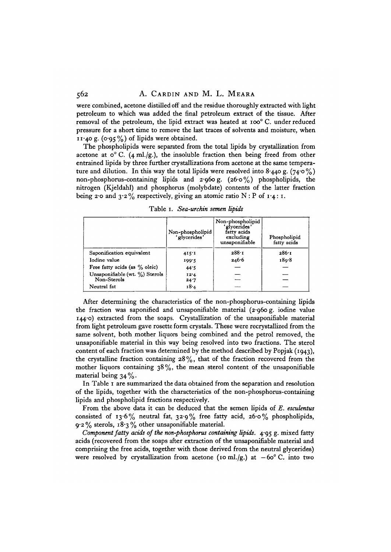were combined, acetone distilled off and the residue thoroughly extracted with light petroleum to which was added the final petroleum extract of the tissue. After removal of the petroleum, the lipid extract was heated at ioo° C. under reduced pressure for a short time to remove the last traces of solvents and moisture, when 11.40 g. (0.95%) of lipids were obtained.

The phospholipids were separated from the total lipids by crystallization from acetone at  $\circ$  C. (4 ml./g.), the insoluble fraction then being freed from other entrained lipids by three further crystallizations from acetone at the same temperature and dilution. In this way the total lipids were resolved into  $8.440$  g.  $(74.0\%)$ non-phosphorus-containing lipids and  $2.960 \text{ g}$ . ( $26.0 \text{ g}$ ) phospholipids, the nitrogen (Kjeldahl) and phosphorus (molybdate) contents of the latter fraction being 2.0 and  $3.2\%$  respectively, giving an atomic ratio N : P of 1.4: 1.

|                                 | Non-phospholipid<br>'glycerides' | Non-phospholipid<br>'glycerides'<br>fatty acids<br>excluding<br>unsaponifiable | Phospholipid<br>fatty acids |
|---------------------------------|----------------------------------|--------------------------------------------------------------------------------|-----------------------------|
| Saponification equivalent       | 415:1                            | 288.1                                                                          | 286.1                       |
| Iodine value                    | 199.5                            | 246.6                                                                          | 180.8                       |
| Free fatty acids (as $%$ oleic) | 44.5                             |                                                                                |                             |
| Unsaponifiable (wt. %) Sterols  | 12.4                             |                                                                                |                             |
| Non-Sterols                     | 24.7                             |                                                                                |                             |
| Neutral fat                     | 18.4                             |                                                                                |                             |

Table i. *Sea-urchtn semen hpids*

After determining the characteristics of the non-phosphorus-containing lipids the fraction was saponified and unsaponifiable material (2-960 g. iodine value 144-0) extracted from the soaps. Crystallization of the unsaponifiable material from light petroleum gave rosette form crystals. These were recrystallized from the same solvent, both mother liquors being combined and the petrol removed, the unsaponifiable material in this way being resolved into two fractions. The sterol content of each fraction was determined by the method described by Popjak (1943), the crystalline fraction containing  $28\%$ , that of the fraction recovered from the mother liquors containing  $38\%$ , the mean sterol content of the unsaponifiable material being  $34\%$ .

In Table 1 are summarized the data obtained from the separation and resolution of the lipids, together with the characteristics of the non-phosphorus-containing lipids and phospholipid fractions respectively.

From the above data it can be deduced that the semen lipids of *E. esculentus* consisted of 13.6% neutral fat,  $32.9\%$  free fatty acid,  $26.0\%$  phospholipids, 9-2% sterols, 18-3 *%* other unsaponifiable material.

*Component fatty acids of the non-phosphorus containing lipids.* 4.95 g. mixed fatty acids (recovered from the soaps after extraction of the unsaponifiable material and comprising the free acids, together with those derived from the neutral glycerides) were resolved by crystallization from acetone (10 ml./g.) at  $-60^{\circ}$  C. into two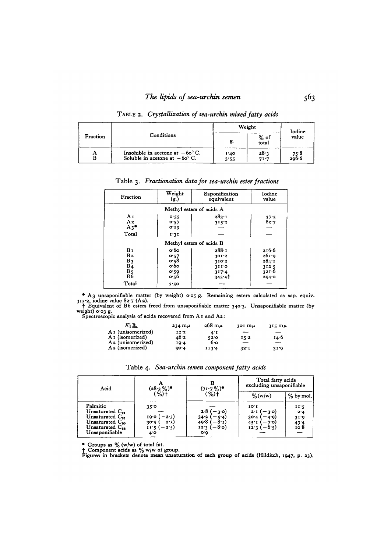|          | Conditions                                                                         | Weight       |                 | Iodine          |
|----------|------------------------------------------------------------------------------------|--------------|-----------------|-----------------|
| Fraction |                                                                                    | g.           | $%$ of<br>total | value           |
| А<br>в   | Insoluble in acetone at $-60^{\circ}$ C.<br>Soluble in acetone at $-60^{\circ}$ C. | 1.40<br>3.55 | 28.3<br>71.7    | $75.8$<br>296.6 |

TABLE 2. Crystallization of sea-urchin mixed fatty acids

| Fraction                                                                         | Weight<br>$\left( \mathbf{g.}\right)$                | Saponification<br>equivalent                       | Iodine<br>value                                    |  |  |
|----------------------------------------------------------------------------------|------------------------------------------------------|----------------------------------------------------|----------------------------------------------------|--|--|
|                                                                                  | Methyl esters of acids A                             |                                                    |                                                    |  |  |
| Aτ<br>A <sub>2</sub><br>$A_3$ <sup><math>\bullet</math></sup><br>Total           | 0.55<br>0.57<br>0.10<br>1:31                         | 283.1<br>315.2                                     | 37.5<br>82.7                                       |  |  |
| Methyl esters of acids B                                                         |                                                      |                                                    |                                                    |  |  |
| Bг<br>B <sub>2</sub><br>$B_3$<br>B <sub>4</sub><br>B <sub>5</sub><br>B6<br>Total | о•бо<br>0.57<br>0.58<br>о∙бо<br>0.59<br>o·56<br>3.50 | 288.1<br>301.2<br>310.2<br>311.0<br>317.4<br>345.4 | 216.6<br>261.9<br>284:1<br>312.5<br>321.6<br>294.0 |  |  |

Table 3. Fractionation data for sea-urchin ester fractions

• A 3 unsaponifiable matter (by weight)  $\cos g$ . Remaining esters calculated as sap. equiv.<br>
315.2, iodine value 82.7 (A 2).<br>
† Equivalent of B6 esters freed from unsaponifiable matter 340.3. Unsaponifiable matter (by weigh

| $E\substack{8 \text{m}}$      | $234 \,\mathrm{m} \mu$ | $268 \text{ m}$ | $301 \text{ m}\mu$ | $315 \text{ m}\mu$ |
|-------------------------------|------------------------|-----------------|--------------------|--------------------|
| A <sub>1</sub> (unisomerized) | 12.2                   | 4.I             | --                 |                    |
| A <sub>1</sub> (isomerized)   | 46.2                   | 52.0            | 15.2               | 14.6               |
| A <sub>2</sub> (unisomerized) | 19.4                   | 6.0             |                    | $-$                |
| A <sub>2</sub> (isomerized)   | QQ.4                   | 113.4           | 32.1               | 31.0               |

| Acid                                                                                                                                     | $(28.3\%)$ <sup>*</sup><br>(%) †                                                 | $(71.7\%)$ *<br>(%)†                                                | Total fatty acids<br>excluding unsaponifiable                          |                                       |
|------------------------------------------------------------------------------------------------------------------------------------------|----------------------------------------------------------------------------------|---------------------------------------------------------------------|------------------------------------------------------------------------|---------------------------------------|
|                                                                                                                                          |                                                                                  |                                                                     | $\%$ (w/w)                                                             | $%$ by mol.                           |
| Palmitic<br>Unsaturated $C_{14}$<br>Unsaturated $C_{16}$<br>Unsaturated C <sub>20</sub><br>Unsaturated C <sub>11</sub><br>Unsaponifiable | $35^\circ$<br>$-2.5)$<br>190 (<br>30.5(<br>$-2.5)$<br>$11.5 (-2.5)$<br>$4^\circ$ | $2.8(-3.0)$<br>$34.2 (-5.4)$<br>$49.8(-8.1)$<br>$12.3(-8.0)$<br>o.o | IO <sub>T</sub><br>$-3,0$<br>$2^1$<br>30.4<br>-49)<br>45.1<br>$12.3 +$ | 11.5<br>2.4<br>31.9<br>$43.4$<br>10.8 |

Table 4. Sea-urchin semen component fatty acids

Groups as % (w/w) of total fat.<br>† Component acids as % w/w of group.<br>Figures in brackets denote mean unsaturation of each group of acids (Hilditch, 1947, p. 23).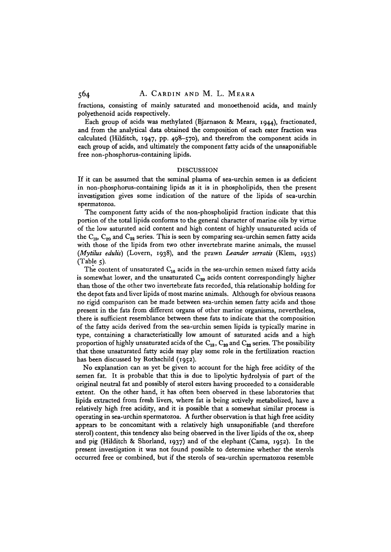fractions, consisting of mainly saturated and monoethenoid acids, and mainly polyethenoid acids respectively.

Each group of acids was methylated (Bjarnason & Meara, 1944), fractionated, and from the analytical data obtained the composition of each ester fraction was calculated (Hilditch, 1947, pp. 498-570), and therefrom the component acids in each group of acids, and ultimately the component fatty acids of the unsaponifiable free non-phosphorus-containing lipids.

#### DISCUSSION

If it can be assumed that the seminal plasma of sea-urchin semen is as deficient in non-phosphorus-containing lipids as it is in phospholipids, then the present investigation gives some indication of the nature of the lipids of sea-urchin spermatozoa.

The component fatty acids of the non-phospholipid fraction indicate that this portion of the total lipids conforms to the general character of marine oils by virtue of the low saturated acid content and high content of highly unsaturated acids of the  $C_{18}$ ,  $C_{20}$  and  $C_{22}$  series. This is seen by comparing sea-urchin semen fatty acids with those of the lipids from two other invertebrate marine animals, the mussel *(Mytilus edulis)* (Lovern, 1938), and the prawn *Leander serratis* (Klem, 1935)  $(Table 5)$ .

The content of unsaturated  $C_{16}$  acids in the sea-urchin semen mixed fatty acids is somewhat lower, and the unsaturated  $C_{20}$  acids content correspondingly higher than those of the other two invertebrate fats recorded, this relationship holding for the depot fats and liver lipids of most marine animals. Although for obvious reasons no rigid comparison can be made between sea-urchin semen fatty acids and those present in the fats from different organs of other marine organisms, nevertheless, there is sufficient resemblance between these fats to indicate that the composition of the fatty acids derived from the sea-urchin semen lipids is typically marine in type, containing a characteristically low amount of saturated acids and a high proportion of highly unsaturated acids of the  $C_{18}$ ,  $C_{20}$  and  $C_{22}$  series. The possibility that these unsaturated fatty acids may play some role in the fertilization reaction has been discussed by Rothschild (1952).

No explanation can as yet be given to account for the high free acidity of the semen fat. It is probable that this is due to lipolytic hydrolysis of part of the original neutral fat and possibly of sterol esters having proceeded to a considerable extent. On the other hand, it has often been observed in these laboratories that lipids extracted from fresh livers, where fat is being actively metabolized, have a relatively high free acidity, and it is possible that a somewhat similar process is operating in sea-urchin spermatozoa. A further observation is that high free acidity appears to be concomitant with a relatively high unsaponifiable (and therefore sterol) content, this tendency also being observed in the liver lipids of the ox, sheep and pig (Hilditch & Shorland, 1937) and of the elephant (Cama, 1952). In the present investigation it was not found possible to determine whether the sterols occurred free or combined, but if the sterols of sea-urchin spermatozoa resemble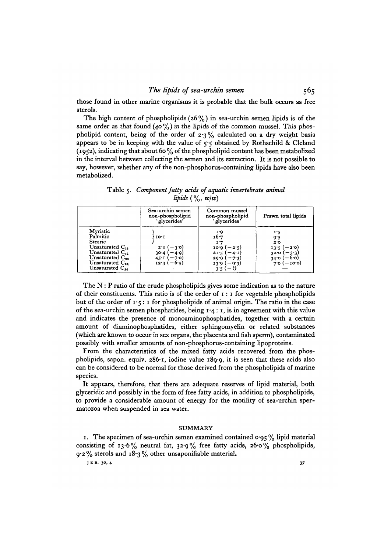those found in other marine organisms it is probable that the bulk occurs as free sterols.

The high content of phospholipids  $(26\%)$  in sea-urchin semen lipids is of the same order as that found  $(40\%)$  in the lipids of the common mussel. This phospholipid content, being of the order of  $2.3\%$  calculated on a dry weight basis appears to be in keeping with the value of  $5.5$  obtained by Rothschild & Cleland (1952), indicating that about 60% of the phospholipid content has been metabolized in the interval between collecting the semen and its extraction. It is not possible to say, however, whether any of the non-phosphorus-containing lipids have also been metabolized.

Table 5. *Component fatty acids of aquatic invertebrate animal Upids{%,wjw)*

|                                                                                                                                                         | Sea-urchin semen<br>non-phospholipid<br>'glycerides'                         | Common mussel<br>non-phospholipid<br>'glycerides'                                            | Prawn total lipids                                                               |
|---------------------------------------------------------------------------------------------------------------------------------------------------------|------------------------------------------------------------------------------|----------------------------------------------------------------------------------------------|----------------------------------------------------------------------------------|
| Myristic<br>Palmitic<br>Stearic<br>Unsaturated $C_{16}$<br>Unsaturated $C_{12}$<br>Unsaturated $C_{20}$<br>Unsaturated $C_{11}$<br>Unsaturated $C_{14}$ | IO'I<br>$2^{1}$ ( $-3^{0}$ )<br>$30.4 (-4.9)$<br>45 I $(-7)$<br>$12.3(-6.5)$ | 1.O<br>16.7<br>$10.0 (-2.5)$<br>$21.5(-4.1)$<br>$29.9(-7.3)$<br>$13.9(-9.3)$<br>$-1$<br>3:5( | 1.5<br>9.5<br>2.0<br>$13.5 (-2.0)$<br>$320 (-3)$<br>ا 34.0<br>$-6.01$<br>– 10.0) |

The  $N$ : P ratio of the crude phospholipids gives some indication as to the nature of their constituents. This ratio is of the order of  $\mathbf{r}$ :  $\mathbf{r}$  for vegetable phospholipids but of the order of  $1 \cdot 5$ : I for phospholipids of animal origin. The ratio in the case of the sea-urchin semen phosphatides, being 1 -4: 1, is in agreement with this value and indicates the presence of monoaminophosphatides, together with a certain amount of diaminophosphatides, either sphingomyelin or related substances (which are known to occur in sex organs, the placenta and fish sperm), contaminated possibly with smaller amounts of non-phosphorus-containing lipoproteins.

From the characteristics of the mixed fatty acids recovered from the phospholipids, sapon. equiv. 286<sup>.</sup>1, iodine value 189.9, it is seen that these acids also can be considered to be normal for those derived from the phospholipids of marine species.

It appears, therefore, that there are adequate reserves of lipid material, both glyceridic and possibly in the form of free fatty acids, in addition to phospholipids, to provide a considerable amount of energy for the motility of sea-urchin spermatozoa when suspended in sea water.

#### **SUMMARY**

1. The specimen of sea-urchin semen examined contained  $\log$  % lipid material consisting of 13.6% neutral fat,  $32.9\%$  free fatty acids,  $26.0\%$  phospholipids,  $9.2\%$  sterols and  $18.3\%$  other unsaponifiable material.

**J E B. 30, 4 37**